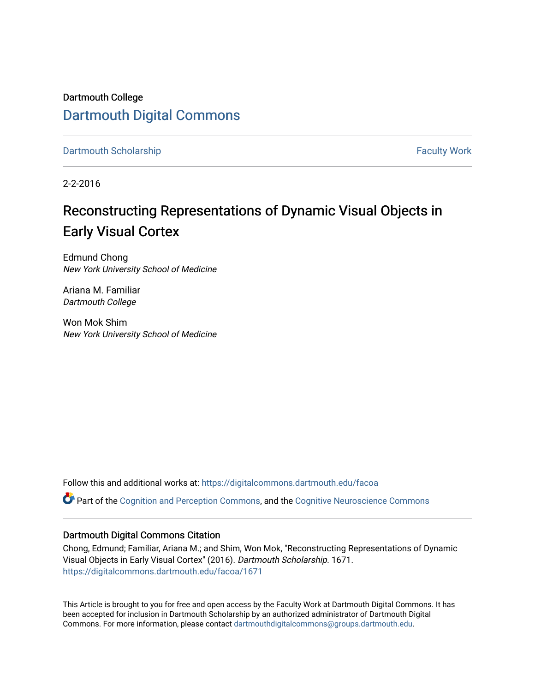Dartmouth College [Dartmouth Digital Commons](https://digitalcommons.dartmouth.edu/) 

[Dartmouth Scholarship](https://digitalcommons.dartmouth.edu/facoa) Faculty Work

2-2-2016

## Reconstructing Representations of Dynamic Visual Objects in Early Visual Cortex

Edmund Chong New York University School of Medicine

Ariana M. Familiar Dartmouth College

Won Mok Shim New York University School of Medicine

Follow this and additional works at: [https://digitalcommons.dartmouth.edu/facoa](https://digitalcommons.dartmouth.edu/facoa?utm_source=digitalcommons.dartmouth.edu%2Ffacoa%2F1671&utm_medium=PDF&utm_campaign=PDFCoverPages)

Part of the [Cognition and Perception Commons,](http://network.bepress.com/hgg/discipline/407?utm_source=digitalcommons.dartmouth.edu%2Ffacoa%2F1671&utm_medium=PDF&utm_campaign=PDFCoverPages) and the [Cognitive Neuroscience Commons](http://network.bepress.com/hgg/discipline/57?utm_source=digitalcommons.dartmouth.edu%2Ffacoa%2F1671&utm_medium=PDF&utm_campaign=PDFCoverPages) 

### Dartmouth Digital Commons Citation

Chong, Edmund; Familiar, Ariana M.; and Shim, Won Mok, "Reconstructing Representations of Dynamic Visual Objects in Early Visual Cortex" (2016). Dartmouth Scholarship. 1671. [https://digitalcommons.dartmouth.edu/facoa/1671](https://digitalcommons.dartmouth.edu/facoa/1671?utm_source=digitalcommons.dartmouth.edu%2Ffacoa%2F1671&utm_medium=PDF&utm_campaign=PDFCoverPages) 

This Article is brought to you for free and open access by the Faculty Work at Dartmouth Digital Commons. It has been accepted for inclusion in Dartmouth Scholarship by an authorized administrator of Dartmouth Digital Commons. For more information, please contact [dartmouthdigitalcommons@groups.dartmouth.edu](mailto:dartmouthdigitalcommons@groups.dartmouth.edu).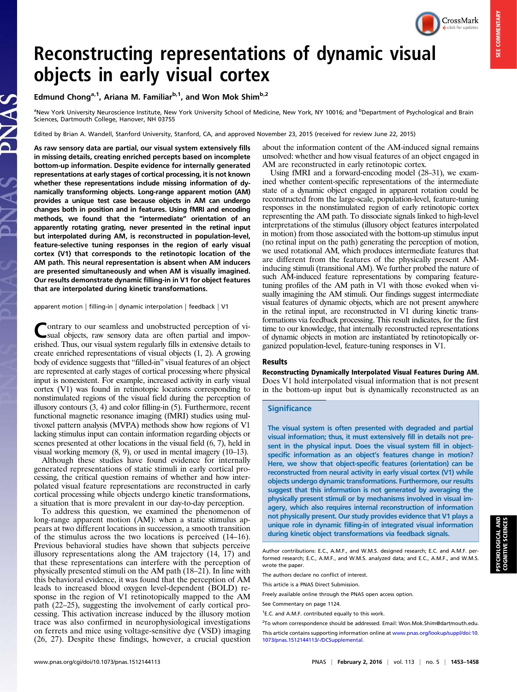CrossMark

# Reconstructing representations of dynamic visual objects in early visual cortex

#### Edmund Chong<sup>a,1</sup>, Ariana M. Familiar<sup>b,1</sup>, and Won Mok Shim<sup>b,2</sup>

<sup>a</sup>New York University Neuroscience Institute, New York University School of Medicine, New York, NY 10016; and <sup>b</sup>Department of Psychological and Brain Sciences, Dartmouth College, Hanover, NH 03755

Edited by Brian A. Wandell, Stanford University, Stanford, CA, and approved November 23, 2015 (received for review June 22, 2015)

As raw sensory data are partial, our visual system extensively fills in missing details, creating enriched percepts based on incomplete bottom-up information. Despite evidence for internally generated representations at early stages of cortical processing, it is not known whether these representations include missing information of dynamically transforming objects. Long-range apparent motion (AM) provides a unique test case because objects in AM can undergo changes both in position and in features. Using fMRI and encoding methods, we found that the "intermediate" orientation of an apparently rotating grating, never presented in the retinal input but interpolated during AM, is reconstructed in population-level, feature-selective tuning responses in the region of early visual cortex (V1) that corresponds to the retinotopic location of the AM path. This neural representation is absent when AM inducers are presented simultaneously and when AM is visually imagined. Our results demonstrate dynamic filling-in in V1 for object features that are interpolated during kinetic transformations.

apparent motion | filling-in | dynamic interpolation | feedback | V1

Contrary to our seamless and unobstructed perception of vi-<br>sual objects, raw sensory data are often partial and impoverished. Thus, our visual system regularly fills in extensive details to create enriched representations of visual objects (1, 2). A growing body of evidence suggests that "filled-in" visual features of an object are represented at early stages of cortical processing where physical input is nonexistent. For example, increased activity in early visual cortex (V1) was found in retinotopic locations corresponding to nonstimulated regions of the visual field during the perception of illusory contours (3, 4) and color filling-in (5). Furthermore, recent functional magnetic resonance imaging (fMRI) studies using multivoxel pattern analysis (MVPA) methods show how regions of V1 lacking stimulus input can contain information regarding objects or scenes presented at other locations in the visual field (6, 7), held in visual working memory (8, 9), or used in mental imagery (10–13).

Although these studies have found evidence for internally generated representations of static stimuli in early cortical processing, the critical question remains of whether and how interpolated visual feature representations are reconstructed in early cortical processing while objects undergo kinetic transformations, a situation that is more prevalent in our day-to-day perception.

To address this question, we examined the phenomenon of long-range apparent motion (AM): when a static stimulus appears at two different locations in succession, a smooth transition of the stimulus across the two locations is perceived (14–16). Previous behavioral studies have shown that subjects perceive illusory representations along the AM trajectory (14, 17) and that these representations can interfere with the perception of physically presented stimuli on the AM path (18–21). In line with this behavioral evidence, it was found that the perception of AM leads to increased blood oxygen level-dependent (BOLD) response in the region of V1 retinotopically mapped to the AM path (22–25), suggesting the involvement of early cortical processing. This activation increase induced by the illusory motion trace was also confirmed in neurophysiological investigations on ferrets and mice using voltage-sensitive dye (VSD) imaging (26, 27). Despite these findings, however, a crucial question about the information content of the AM-induced signal remains unsolved: whether and how visual features of an object engaged in AM are reconstructed in early retinotopic cortex.

Using fMRI and a forward-encoding model (28–31), we examined whether content-specific representations of the intermediate state of a dynamic object engaged in apparent rotation could be reconstructed from the large-scale, population-level, feature-tuning responses in the nonstimulated region of early retinotopic cortex representing the AM path. To dissociate signals linked to high-level interpretations of the stimulus (illusory object features interpolated in motion) from those associated with the bottom-up stimulus input (no retinal input on the path) generating the perception of motion, we used rotational AM, which produces intermediate features that are different from the features of the physically present AMinducing stimuli (transitional AM). We further probed the nature of such AM-induced feature representations by comparing featuretuning profiles of the AM path in V1 with those evoked when visually imagining the AM stimuli. Our findings suggest intermediate visual features of dynamic objects, which are not present anywhere in the retinal input, are reconstructed in V1 during kinetic transformations via feedback processing. This result indicates, for the first time to our knowledge, that internally reconstructed representations of dynamic objects in motion are instantiated by retinotopically organized population-level, feature-tuning responses in V1.

#### Results

Reconstructing Dynamically Interpolated Visual Features During AM. Does V1 hold interpolated visual information that is not present in the bottom-up input but is dynamically reconstructed as an

#### **Significance**

The visual system is often presented with degraded and partial visual information; thus, it must extensively fill in details not present in the physical input. Does the visual system fill in objectspecific information as an object's features change in motion? Here, we show that object-specific features (orientation) can be reconstructed from neural activity in early visual cortex (V1) while objects undergo dynamic transformations. Furthermore, our results suggest that this information is not generated by averaging the physically present stimuli or by mechanisms involved in visual imagery, which also requires internal reconstruction of information not physically present. Our study provides evidence that V1 plays a unique role in dynamic filling-in of integrated visual information during kinetic object transformations via feedback signals.

Author contributions: E.C., A.M.F., and W.M.S. designed research; E.C. and A.M.F. performed research; E.C., A.M.F., and W.M.S. analyzed data; and E.C., A.M.F., and W.M.S. wrote the paper.

The authors declare no conflict of interest.

This article is a PNAS Direct Submission.

Freely available online through the PNAS open access option.

See Commentary on page 1124.

PSYCHOLOGICAL AND COGNITIVE SCIENCES

**PSYCHOLOGICAL AND**<br>COGNITIVE SCIENCES

<sup>&</sup>lt;sup>1</sup>E.C. and A.M.F. contributed equally to this work.

<sup>&</sup>lt;sup>2</sup>To whom correspondence should be addressed. Email: [Won.Mok.Shim@dartmouth.edu](mailto:Won.Mok.Shim@dartmouth.edu).

This article contains supporting information online at [www.pnas.org/lookup/suppl/doi:10.](http://www.pnas.org/lookup/suppl/doi:10.1073/pnas.1512144113/-/DCSupplemental) [1073/pnas.1512144113/-/DCSupplemental](http://www.pnas.org/lookup/suppl/doi:10.1073/pnas.1512144113/-/DCSupplemental).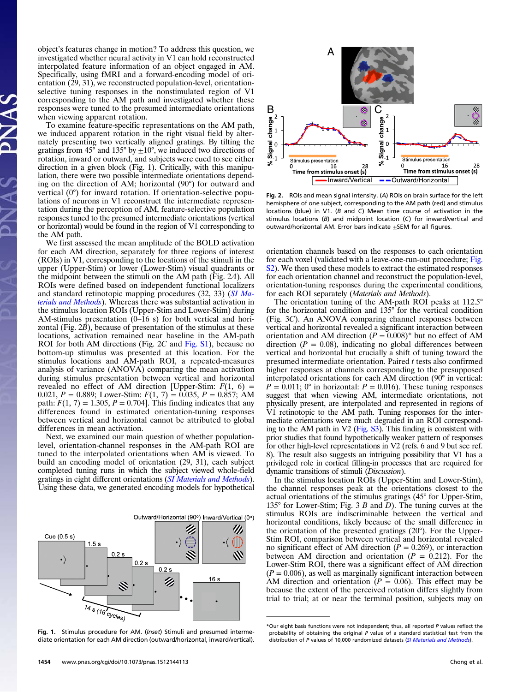object's features change in motion? To address this question, we investigated whether neural activity in V1 can hold reconstructed interpolated feature information of an object engaged in AM. Specifically, using fMRI and a forward-encoding model of orientation (29, 31), we reconstructed population-level, orientationselective tuning responses in the nonstimulated region of V1 corresponding to the AM path and investigated whether these responses were tuned to the presumed intermediate orientations when viewing apparent rotation.

To examine feature-specific representations on the AM path, we induced apparent rotation in the right visual field by alternately presenting two vertically aligned gratings. By tilting the gratings from 45 $\degree$  and 135 $\degree$  by  $\pm 10\degree$ , we induced two directions of rotation, inward or outward, and subjects were cued to see either direction in a given block (Fig. 1). Critically, with this manipulation, there were two possible intermediate orientations depending on the direction of AM; horizontal (90°) for outward and vertical (0°) for inward rotation. If orientation-selective populations of neurons in V1 reconstruct the intermediate representation during the perception of AM, feature-selective population responses tuned to the presumed intermediate orientations (vertical or horizontal) would be found in the region of V1 corresponding to the AM path.

We first assessed the mean amplitude of the BOLD activation for each AM direction, separately for three regions of interest (ROIs) in V1, corresponding to the locations of the stimuli in the upper (Upper-Stim) or lower (Lower-Stim) visual quadrants or the midpoint between the stimuli on the AM path (Fig. 2A). All ROIs were defined based on independent functional localizers and standard retinotopic mapping procedures (32, 33) ([SI Ma](http://www.pnas.org/lookup/suppl/doi:10.1073/pnas.1512144113/-/DCSupplemental/pnas.201512144SI.pdf?targetid=nameddest=STXT)[terials and Methods](http://www.pnas.org/lookup/suppl/doi:10.1073/pnas.1512144113/-/DCSupplemental/pnas.201512144SI.pdf?targetid=nameddest=STXT)). Whereas there was substantial activation in the stimulus location ROIs (Upper-Stim and Lower-Stim) during AM-stimulus presentation  $(0-16 s)$  for both vertical and horizontal (Fig. 2B), because of presentation of the stimulus at these locations, activation remained near baseline in the AM-path ROI for both AM directions (Fig. 2C and [Fig. S1](http://www.pnas.org/lookup/suppl/doi:10.1073/pnas.1512144113/-/DCSupplemental/pnas.201512144SI.pdf?targetid=nameddest=SF1)), because no bottom-up stimulus was presented at this location. For the stimulus locations and AM-path ROI, a repeated-measures analysis of variance (ANOVA) comparing the mean activation during stimulus presentation between vertical and horizontal revealed no effect of AM direction [Upper-Stim:  $F(1, 6) =$ 0.021,  $P = 0.889$ ; Lower-Stim:  $F(1, 7) = 0.035$ ,  $P = 0.857$ ; AM path:  $F(1, 7) = 1.305$ ,  $P = 0.704$ . This finding indicates that any differences found in estimated orientation-tuning responses between vertical and horizontal cannot be attributed to global differences in mean activation.

Next, we examined our main question of whether populationlevel, orientation-channel responses in the AM-path ROI are tuned to the interpolated orientations when AM is viewed. To build an encoding model of orientation (29, 31), each subject completed tuning runs in which the subject viewed whole-field gratings in eight different orientations ([SI Materials and Methods](http://www.pnas.org/lookup/suppl/doi:10.1073/pnas.1512144113/-/DCSupplemental/pnas.201512144SI.pdf?targetid=nameddest=STXT)). Using these data, we generated encoding models for hypothetical

Outward/Horizontal (90°) Inward/Vertical (0°)







Fig. 2. ROIs and mean signal intensity. (A) ROIs on brain surface for the left hemisphere of one subject, corresponding to the AM path (red) and stimulus locations (blue) in V1. (B and C) Mean time course of activation in the stimulus locations (B) and midpoint location (C) for inward/vertical and outward/horizontal AM. Error bars indicate ±SEM for all figures.

orientation channels based on the responses to each orientation for each voxel (validated with a leave-one-run-out procedure; [Fig.](http://www.pnas.org/lookup/suppl/doi:10.1073/pnas.1512144113/-/DCSupplemental/pnas.201512144SI.pdf?targetid=nameddest=SF2) [S2\)](http://www.pnas.org/lookup/suppl/doi:10.1073/pnas.1512144113/-/DCSupplemental/pnas.201512144SI.pdf?targetid=nameddest=SF2). We then used these models to extract the estimated responses for each orientation channel and reconstruct the population-level, orientation-tuning responses during the experimental conditions, for each ROI separately (Materials and Methods).

The orientation tuning of the AM-path ROI peaks at 112.5° for the horizontal condition and 135° for the vertical condition (Fig. 3C). An ANOVA comparing channel responses between vertical and horizontal revealed a significant interaction between orientation and AM direction  $(P = 0.008)^*$  but no effect of AM direction ( $P = 0.08$ ), indicating no global differences between vertical and horizontal but crucially a shift of tuning toward the presumed intermediate orientation. Paired t tests also confirmed higher responses at channels corresponding to the presupposed interpolated orientations for each AM direction (90° in vertical:  $P = 0.011$ ; 0° in horizontal:  $P = 0.016$ ). These tuning responses suggest that when viewing AM, intermediate orientations, not physically present, are interpolated and represented in regions of V1 retinotopic to the AM path. Tuning responses for the intermediate orientations were much degraded in an ROI corresponding to the AM path in V2 [\(Fig. S3\)](http://www.pnas.org/lookup/suppl/doi:10.1073/pnas.1512144113/-/DCSupplemental/pnas.201512144SI.pdf?targetid=nameddest=SF3). This finding is consistent with prior studies that found hypothetically weaker pattern of responses for other high-level representations in V2 (refs. 6 and 9 but see ref. 8). The result also suggests an intriguing possibility that V1 has a privileged role in cortical filling-in processes that are required for dynamic transitions of stimuli (Discussion).

In the stimulus location ROIs (Upper-Stim and Lower-Stim), the channel responses peak at the orientations closest to the actual orientations of the stimulus gratings (45° for Upper-Stim, 135 $^{\circ}$  for Lower-Stim; Fig. 3 B and D). The tuning curves at the stimulus ROIs are indiscriminable between the vertical and horizontal conditions, likely because of the small difference in the orientation of the presented gratings (20°). For the Upper-Stim ROI, comparison between vertical and horizontal revealed no significant effect of AM direction ( $P = 0.269$ ), or interaction between AM direction and orientation  $(P = 0.212)$ . For the Lower-Stim ROI, there was a significant effect of AM direction  $(P = 0.006)$ , as well as marginally significant interaction between AM direction and orientation ( $P = 0.06$ ). This effect may be because the extent of the perceived rotation differs slightly from trial to trial; at or near the terminal position, subjects may on

<sup>\*</sup>Our eight basis functions were not independent; thus, all reported P values reflect the probability of obtaining the original P value of a standard statistical test from the distribution of P values of 10,000 randomized datasets ([SI Materials and Methods](http://www.pnas.org/lookup/suppl/doi:10.1073/pnas.1512144113/-/DCSupplemental/pnas.201512144SI.pdf?targetid=nameddest=STXT)).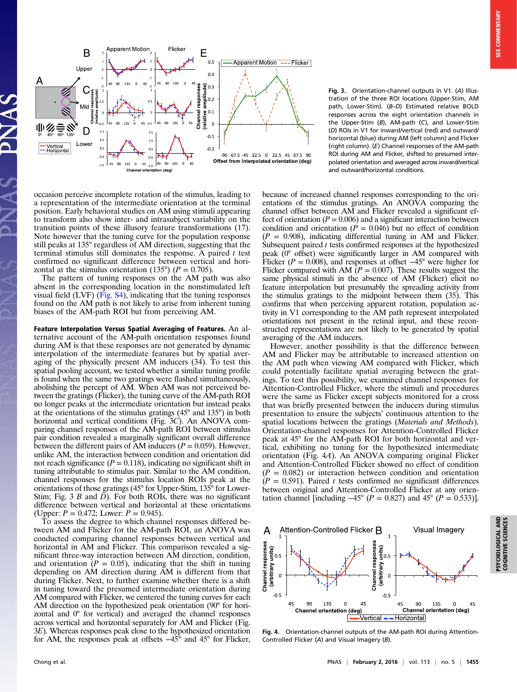

occasion perceive incomplete rotation of the stimulus, leading to a representation of the intermediate orientation at the terminal position. Early behavioral studies on AM using stimuli appearing to transform also show inter- and intrasubject variability on the transition points of these illusory feature transformations (17). Note however that the tuning curve for the population response still peaks at 135° regardless of AM direction, suggesting that the terminal stimulus still dominates the response. A paired  $t$  test confirmed no significant difference between vertical and horizontal at the stimulus orientation (135°) ( $P = 0.705$ ).

The pattern of tuning responses on the AM path was also absent in the corresponding location in the nonstimulated left visual field  $(LVF)$  ([Fig. S4](http://www.pnas.org/lookup/suppl/doi:10.1073/pnas.1512144113/-/DCSupplemental/pnas.201512144SI.pdf?targetid=nameddest=SF4)), indicating that the tuning responses found on the AM path is not likely to arise from inherent tuning biases of the AM-path ROI but from perceiving AM.

Feature Interpolation Versus Spatial Averaging of Features. An alternative account of the AM-path orientation responses found during AM is that these responses are not generated by dynamic interpolation of the intermediate features but by spatial averaging of the physically present AM inducers (34). To test this spatial pooling account, we tested whether a similar tuning profile is found when the same two gratings were flashed simultaneously, abolishing the percept of AM. When AM was not perceived between the gratings (Flicker), the tuning curve of the AM-path ROI no longer peaks at the intermediate orientation but instead peaks at the orientations of the stimulus gratings (45° and 135°) in both horizontal and vertical conditions (Fig. 3C). An ANOVA comparing channel responses of the AM-path ROI between stimulus pair condition revealed a marginally significant overall difference between the different pairs of AM inducers ( $P = 0.059$ ). However, unlike AM, the interaction between condition and orientation did not reach significance ( $P = 0.118$ ), indicating no significant shift in tuning attributable to stimulus pair. Similar to the AM condition, channel responses for the stimulus location ROIs peak at the orientations of those gratings (45° for Upper-Stim, 135° for Lower-Stim; Fig. 3 B and  $\overrightarrow{D}$ ). For both ROIs, there was no significant difference between vertical and horizontal at these orientations (Upper:  $P = 0.472$ ; Lower:  $P = 0.945$ ).

To assess the degree to which channel responses differed between AM and Flicker for the AM-path ROI, an ANOVA was conducted comparing channel responses between vertical and horizontal in AM and Flicker. This comparison revealed a significant three-way interaction between AM direction, condition, and orientation ( $P = 0.05$ ), indicating that the shift in tuning depending on AM direction during AM is different from that during Flicker. Next, to further examine whether there is a shift in tuning toward the presumed intermediate orientation during AM compared with Flicker, we centered the tuning curves for each AM direction on the hypothesized peak orientation (90° for horizontal and 0° for vertical) and averaged the channel responses across vertical and horizontal separately for AM and Flicker (Fig. 3E). Whereas responses peak close to the hypothesized orientation for AM, the responses peak at offsets −45° and 45° for Flicker,

Fig. 3. Orientation-channel outputs in V1. (A) Illustration of the three ROI locations (Upper-Stim, AM path, Lower-Stim). (B–D) Estimated relative BOLD responses across the eight orientation channels in the Upper-Stim (B), AM-path (C), and Lower-Stim (D) ROIs in V1 for inward/vertical (red) and outward/ horizontal (blue) during AM (left column) and Flicker (right column). (E) Channel responses of the AM-path ROI during AM and Flicker, shifted to presumed interpolated orientation and averaged across inward/vertical and outward/horizontal conditions.

because of increased channel responses corresponding to the orientations of the stimulus gratings. An ANOVA comparing the channel offset between AM and Flicker revealed a significant effect of orientation ( $P = 0.006$ ) and a significant interaction between condition and orientation ( $\dot{P} = 0.046$ ) but no effect of condition  $(P = 0.908)$ , indicating differential tuning in AM and Flicker. Subsequent paired  $t$  tests confirmed responses at the hypothesized peak (0° offset) were significantly larger in AM compared with Flicker ( $P = 0.008$ ), and responses at offset  $-45^{\circ}$  were higher for Flicker compared with AM  $(P = 0.007)$ . These results suggest the same physical stimuli in the absence of AM (Flicker) elicit no feature interpolation but presumably the spreading activity from the stimulus gratings to the midpoint between them (35). This confirms that when perceiving apparent rotation, population activity in V1 corresponding to the AM path represent interpolated orientations not present in the retinal input, and these reconstructed representations are not likely to be generated by spatial averaging of the AM inducers.

However, another possibility is that the difference between AM and Flicker may be attributable to increased attention on the AM path when viewing AM compared with Flicker, which could potentially facilitate spatial averaging between the gratings. To test this possibility, we examined channel responses for Attention-Controlled Flicker, where the stimuli and procedures were the same as Flicker except subjects monitored for a cross that was briefly presented between the inducers during stimulus presentation to ensure the subjects' continuous attention to the spatial locations between the gratings (Materials and Methods). Orientation-channel responses for Attention-Controlled Flicker peak at 45° for the AM-path ROI for both horizontal and vertical, exhibiting no tuning for the hypothesized intermediate orientation (Fig. 4A). An ANOVA comparing original Flicker and Attention-Controlled Flicker showed no effect of condition  $(P = 0.082)$  or interaction between condition and orientation  $(P = 0.591)$ . Paired t tests confirmed no significant differences between original and Attention-Controlled Flicker at any orientation channel [including  $-45^{\circ}$  ( $P = 0.827$ ) and  $45^{\circ}$  ( $P = 0.533$ )].



Fig. 4. Orientation-channel outputs of the AM-path ROI during Attention-Controlled Flicker (A) and Visual Imagery (B).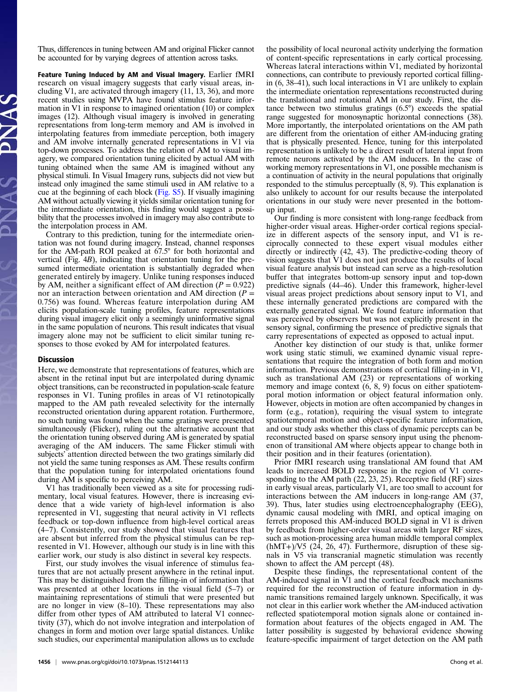Thus, differences in tuning between AM and original Flicker cannot be accounted for by varying degrees of attention across tasks.

Feature Tuning Induced by AM and Visual Imagery. Earlier fMRI research on visual imagery suggests that early visual areas, including V1, are activated through imagery (11, 13, 36), and more recent studies using MVPA have found stimulus feature information in V1 in response to imagined orientation (10) or complex images (12). Although visual imagery is involved in generating representations from long-term memory and AM is involved in interpolating features from immediate perception, both imagery and AM involve internally generated representations in V1 via top-down processes. To address the relation of AM to visual imagery, we compared orientation tuning elicited by actual AM with tuning obtained when the same AM is imagined without any physical stimuli. In Visual Imagery runs, subjects did not view but instead only imagined the same stimuli used in AM relative to a cue at the beginning of each block [\(Fig. S5](http://www.pnas.org/lookup/suppl/doi:10.1073/pnas.1512144113/-/DCSupplemental/pnas.201512144SI.pdf?targetid=nameddest=SF5)). If visually imagining AM without actually viewing it yields similar orientation tuning for the intermediate orientation, this finding would suggest a possibility that the processes involved in imagery may also contribute to the interpolation process in AM.

Contrary to this prediction, tuning for the intermediate orientation was not found during imagery. Instead, channel responses for the AM-path ROI peaked at 67.5° for both horizontal and vertical (Fig. 4B), indicating that orientation tuning for the presumed intermediate orientation is substantially degraded when generated entirely by imagery. Unlike tuning responses induced by AM, neither a significant effect of AM direction ( $P = 0.922$ ) nor an interaction between orientation and AM direction  $(P =$ 0.756) was found. Whereas feature interpolation during AM elicits population-scale tuning profiles, feature representations during visual imagery elicit only a seemingly uninformative signal in the same population of neurons. This result indicates that visual imagery alone may not be sufficient to elicit similar tuning responses to those evoked by AM for interpolated features.

#### Discussion

Here, we demonstrate that representations of features, which are absent in the retinal input but are interpolated during dynamic object transitions, can be reconstructed in population-scale feature responses in V1. Tuning profiles in areas of V1 retinotopically mapped to the AM path revealed selectivity for the internally reconstructed orientation during apparent rotation. Furthermore, no such tuning was found when the same gratings were presented simultaneously (Flicker), ruling out the alternative account that the orientation tuning observed during AM is generated by spatial averaging of the AM inducers. The same Flicker stimuli with subjects' attention directed between the two gratings similarly did not yield the same tuning responses as AM. These results confirm that the population tuning for interpolated orientations found during AM is specific to perceiving AM.

V1 has traditionally been viewed as a site for processing rudimentary, local visual features. However, there is increasing evidence that a wide variety of high-level information is also represented in V1, suggesting that neural activity in V1 reflects feedback or top-down influence from high-level cortical areas (4–7). Consistently, our study showed that visual features that are absent but inferred from the physical stimulus can be represented in V1. However, although our study is in line with this earlier work, our study is also distinct in several key respects.

First, our study involves the visual inference of stimulus features that are not actually present anywhere in the retinal input. This may be distinguished from the filling-in of information that was presented at other locations in the visual field (5–7) or maintaining representations of stimuli that were presented but are no longer in view (8–10). These representations may also differ from other types of AM attributed to lateral V1 connectivity (37), which do not involve integration and interpolation of changes in form and motion over large spatial distances. Unlike such studies, our experimental manipulation allows us to exclude

the possibility of local neuronal activity underlying the formation of content-specific representations in early cortical processing. Whereas lateral interactions within V1, mediated by horizontal connections, can contribute to previously reported cortical fillingin (6, 38–41), such local interactions in V1 are unlikely to explain the intermediate orientation representations reconstructed during the translational and rotational AM in our study. First, the distance between two stimulus gratings (6.5°) exceeds the spatial range suggested for monosynaptic horizontal connections (38). More importantly, the interpolated orientations on the AM path are different from the orientation of either AM-inducing grating that is physically presented. Hence, tuning for this interpolated representation is unlikely to be a direct result of lateral input from remote neurons activated by the AM inducers. In the case of working memory representations in V1, one possible mechanism is a continuation of activity in the neural populations that originally responded to the stimulus perceptually  $(8, 9)$ . This explanation is also unlikely to account for our results because the interpolated orientations in our study were never presented in the bottomup input.

Our finding is more consistent with long-range feedback from higher-order visual areas. Higher-order cortical regions specialize in different aspects of the sensory input, and V1 is reciprocally connected to these expert visual modules either directly or indirectly (42, 43). The predictive-coding theory of vision suggests that V1 does not just produce the results of local visual feature analysis but instead can serve as a high-resolution buffer that integrates bottom-up sensory input and top-down predictive signals (44–46). Under this framework, higher-level visual areas project predictions about sensory input to V1, and these internally generated predictions are compared with the externally generated signal. We found feature information that was perceived by observers but was not explicitly present in the sensory signal, confirming the presence of predictive signals that carry representations of expected as opposed to actual input.

Another key distinction of our study is that, unlike former work using static stimuli, we examined dynamic visual representations that require the integration of both form and motion information. Previous demonstrations of cortical filling-in in V1, such as translational AM (23) or representations of working memory and image context (6, 8, 9) focus on either spatiotemporal motion information or object featural information only. However, objects in motion are often accompanied by changes in form (e.g., rotation), requiring the visual system to integrate spatiotemporal motion and object-specific feature information, and our study asks whether this class of dynamic percepts can be reconstructed based on sparse sensory input using the phenomenon of transitional AM where objects appear to change both in their position and in their features (orientation).

Prior fMRI research using translational AM found that AM leads to increased BOLD response in the region of V1 corresponding to the AM path (22, 23, 25). Receptive field (RF) sizes in early visual areas, particularly V1, are too small to account for interactions between the AM inducers in long-range AM (37, 39). Thus, later studies using electroencephalography (EEG), dynamic causal modeling with fMRI, and optical imaging on ferrets proposed this AM-induced BOLD signal in V1 is driven by feedback from higher-order visual areas with larger RF sizes, such as motion-processing area human middle temporal complex  $(hMT+)/V5$  (24, 26, 47). Furthermore, disruption of these signals in V5 via transcranial magnetic stimulation was recently shown to affect the AM percept (48).

Despite these findings, the representational content of the AM-induced signal in V1 and the cortical feedback mechanisms required for the reconstruction of feature information in dynamic transitions remained largely unknown. Specifically, it was not clear in this earlier work whether the AM-induced activation reflected spatiotemporal motion signals alone or contained information about features of the objects engaged in AM. The latter possibility is suggested by behavioral evidence showing feature-specific impairment of target detection on the AM path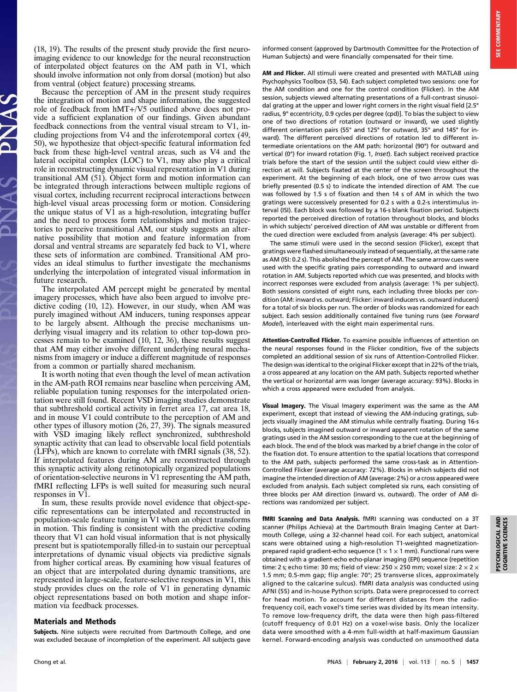(18, 19). The results of the present study provide the first neuroimaging evidence to our knowledge for the neural reconstruction of interpolated object features on the AM path in V1, which should involve information not only from dorsal (motion) but also from ventral (object feature) processing streams.

Because the perception of AM in the present study requires the integration of motion and shape information, the suggested role of feedback from hMT+/V5 outlined above does not provide a sufficient explanation of our findings. Given abundant feedback connections from the ventral visual stream to V1, including projections from V4 and the inferotemporal cortex (49, 50), we hypothesize that object-specific featural information fed back from these high-level ventral areas, such as V4 and the lateral occipital complex (LOC) to V1, may also play a critical role in reconstructing dynamic visual representation in V1 during transitional AM (51). Object form and motion information can be integrated through interactions between multiple regions of visual cortex, including recurrent reciprocal interactions between high-level visual areas processing form or motion. Considering the unique status of V1 as a high-resolution, integrating buffer and the need to process form relationships and motion trajectories to perceive transitional AM, our study suggests an alternative possibility that motion and feature information from dorsal and ventral streams are separately fed back to V1, where these sets of information are combined. Transitional AM provides an ideal stimulus to further investigate the mechanisms underlying the interpolation of integrated visual information in future research.

The interpolated AM percept might be generated by mental imagery processes, which have also been argued to involve predictive coding (10, 12). However, in our study, when AM was purely imagined without AM inducers, tuning responses appear to be largely absent. Although the precise mechanisms underlying visual imagery and its relation to other top-down processes remain to be examined (10, 12, 36), these results suggest that AM may either involve different underlying neural mechanisms from imagery or induce a different magnitude of responses from a common or partially shared mechanism.

It is worth noting that even though the level of mean activation in the AM-path ROI remains near baseline when perceiving AM, reliable population tuning responses for the interpolated orientation were still found. Recent VSD imaging studies demonstrate that subthreshold cortical activity in ferret area 17, cat area 18, and in mouse V1 could contribute to the perception of AM and other types of illusory motion (26, 27, 39). The signals measured with VSD imaging likely reflect synchronized, subthreshold synaptic activity that can lead to observable local field potentials (LFPs), which are known to correlate with fMRI signals (38, 52). If interpolated features during AM are reconstructed through this synaptic activity along retinotopically organized populations of orientation-selective neurons in V1 representing the AM path, fMRI reflecting LFPs is well suited for measuring such neural responses in V1.

In sum, these results provide novel evidence that object-specific representations can be interpolated and reconstructed in population-scale feature tuning in V1 when an object transforms in motion. This finding is consistent with the predictive coding theory that V1 can hold visual information that is not physically present but is spatiotemporally filled-in to sustain our perceptual interpretations of dynamic visual objects via predictive signals from higher cortical areas. By examining how visual features of an object that are interpolated during dynamic transitions, are represented in large-scale, feature-selective responses in V1, this study provides clues on the role of V1 in generating dynamic object representations based on both motion and shape information via feedback processes.

#### Materials and Methods

Subjects. Nine subjects were recruited from Dartmouth College, and one was excluded because of incompletion of the experiment. All subjects gave informed consent (approved by Dartmouth Committee for the Protection of Human Subjects) and were financially compensated for their time.

AM and Flicker. All stimuli were created and presented with MATLAB using Psychophysics Toolbox (53, 54). Each subject completed two sessions: one for the AM condition and one for the control condition (Flicker). In the AM session, subjects viewed alternating presentations of a full-contrast sinusoidal grating at the upper and lower right corners in the right visual field [2.5° radius, 9° eccentricity, 0.9 cycles per degree (cpd)]. To bias the subject to view one of two directions of rotation (outward or inward), we used slightly different orientation pairs (55° and 125° for outward, 35° and 145° for inward). The different perceived directions of rotation led to different intermediate orientations on the AM path: horizontal (90°) for outward and vertical (0°) for inward rotation (Fig. 1, Inset). Each subject received practice trials before the start of the session until the subject could view either direction at will. Subjects fixated at the center of the screen throughout the experiment. At the beginning of each block, one of two arrow cues was briefly presented (0.5 s) to indicate the intended direction of AM. The cue was followed by 1.5 s of fixation and then 14 s of AM in which the two gratings were successively presented for 0.2 s with a 0.2-s interstimulus interval (ISI). Each block was followed by a 16-s blank fixation period. Subjects reported the perceived direction of rotation throughout blocks, and blocks in which subjects' perceived direction of AM was unstable or different from the cued direction were excluded from analysis (average: 4% per subject).

The same stimuli were used in the second session (Flicker), except that gratings were flashed simultaneously instead of sequentially, at the same rate as AM (ISI: 0.2 s). This abolished the percept of AM. The same arrow cues were used with the specific grating pairs corresponding to outward and inward rotation in AM. Subjects reported which cue was presented, and blocks with incorrect responses were excluded from analysis (average: 1% per subject). Both sessions consisted of eight runs, each including three blocks per condition (AM: inward vs. outward; Flicker: inward inducers vs. outward inducers) for a total of six blocks per run. The order of blocks was randomized for each subject. Each session additionally contained five tuning runs (see Forward Model), interleaved with the eight main experimental runs.

Attention-Controlled Flicker. To examine possible influences of attention on the neural responses found in the Flicker condition, five of the subjects completed an additional session of six runs of Attention-Controlled Flicker. The design was identical to the original Flicker except that in 22% of the trials, a cross appeared at any location on the AM path. Subjects reported whether the vertical or horizontal arm was longer (average accuracy: 93%). Blocks in which a cross appeared were excluded from analysis.

Visual Imagery. The Visual Imagery experiment was the same as the AM experiment, except that instead of viewing the AM-inducing gratings, subjects visually imagined the AM stimulus while centrally fixating. During 16-s blocks, subjects imagined outward or inward apparent rotation of the same gratings used in the AM session corresponding to the cue at the beginning of each block. The end of the block was marked by a brief change in the color of the fixation dot. To ensure attention to the spatial locations that correspond to the AM path, subjects performed the same cross-task as in Attention-Controlled Flicker (average accuracy: 72%). Blocks in which subjects did not imagine the intended direction of AM (average: 2%) or a cross appeared were excluded from analysis. Each subject completed six runs, each consisting of three blocks per AM direction (inward vs. outward). The order of AM directions was randomized per subject.

fMRI Scanning and Data Analysis. fMRI scanning was conducted on a 3T scanner (Philips Achieva) at the Dartmouth Brain Imaging Center at Dartmouth College, using a 32-channel head coil. For each subject, anatomical scans were obtained using a high-resolution T1-weighted magnetizationprepared rapid gradient-echo sequence ( $1 \times 1 \times 1$  mm). Functional runs were obtained with a gradient-echo echo-planar imaging (EPI) sequence (repetition time: 2 s; echo time: 30 ms; field of view: 250  $\times$  250 mm; voxel size: 2  $\times$  2  $\times$ 1.5 mm; 0.5-mm gap; flip angle: 70°; 25 transverse slices, approximately aligned to the calcarine sulcus). fMRI data analysis was conducted using AFNI (55) and in-house Python scripts. Data were preprocessed to correct for head motion. To account for different distances from the radiofrequency coil, each voxel's time series was divided by its mean intensity. To remove low-frequency drift, the data were then high pass-filtered (cutoff frequency of 0.01 Hz) on a voxel-wise basis. Only the localizer data were smoothed with a 4-mm full-width at half-maximum Gaussian kernel. Forward-encoding analysis was conducted on unsmoothed data